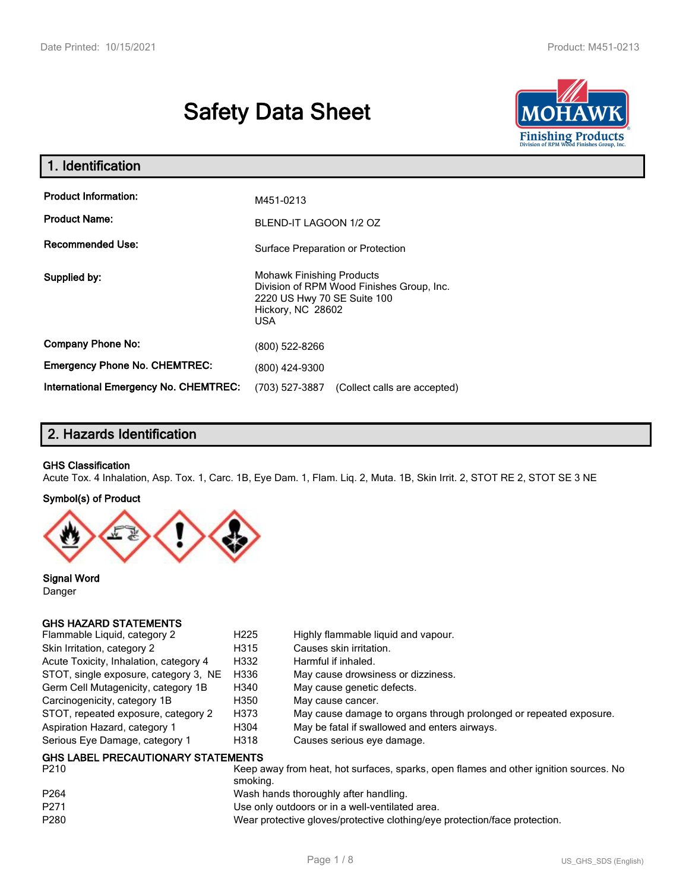# **Safety Data Sheet**



| 1. Identification                                   |                                                                                                                                                 |  |
|-----------------------------------------------------|-------------------------------------------------------------------------------------------------------------------------------------------------|--|
| <b>Product Information:</b><br><b>Product Name:</b> | M451-0213<br>BLEND-IT LAGOON 1/2 OZ                                                                                                             |  |
| <b>Recommended Use:</b>                             | Surface Preparation or Protection                                                                                                               |  |
| Supplied by:                                        | <b>Mohawk Finishing Products</b><br>Division of RPM Wood Finishes Group, Inc.<br>2220 US Hwy 70 SE Suite 100<br>Hickory, NC 28602<br><b>USA</b> |  |
| <b>Company Phone No:</b>                            | (800) 522-8266                                                                                                                                  |  |
| <b>Emergency Phone No. CHEMTREC:</b>                | (800) 424-9300                                                                                                                                  |  |
| <b>International Emergency No. CHEMTREC:</b>        | (703) 527-3887<br>(Collect calls are accepted)                                                                                                  |  |

# **2. Hazards Identification**

#### **GHS Classification**

Acute Tox. 4 Inhalation, Asp. Tox. 1, Carc. 1B, Eye Dam. 1, Flam. Liq. 2, Muta. 1B, Skin Irrit. 2, STOT RE 2, STOT SE 3 NE

#### **Symbol(s) of Product**



**Signal Word** Danger

#### **GHS HAZARD STATEMENTS**

| Flammable Liquid, category 2              | H <sub>225</sub> | Highly flammable liguid and vapour.                                                   |
|-------------------------------------------|------------------|---------------------------------------------------------------------------------------|
| Skin Irritation, category 2               | H315             | Causes skin irritation.                                                               |
| Acute Toxicity, Inhalation, category 4    | H332             | Harmful if inhaled.                                                                   |
| STOT, single exposure, category 3, NE     | H336             | May cause drowsiness or dizziness.                                                    |
| Germ Cell Mutagenicity, category 1B       | H340             | May cause genetic defects.                                                            |
| Carcinogenicity, category 1B              | H350             | May cause cancer.                                                                     |
| STOT, repeated exposure, category 2       | H373             | May cause damage to organs through prolonged or repeated exposure.                    |
| Aspiration Hazard, category 1             | H304             | May be fatal if swallowed and enters airways.                                         |
| Serious Eye Damage, category 1            | H318             | Causes serious eye damage.                                                            |
| <b>GHS LABEL PRECAUTIONARY STATEMENTS</b> |                  |                                                                                       |
| P <sub>210</sub>                          |                  | Keep away from heat, hot surfaces, sparks, open flames and other junition sources. No |

| F Z I U          | <u>KEED AWAY ITUNI NGAL NUL SUNACES, SDAINS, UDEN NANIES AND UNIEL IQHINUN SUULCES. INC</u><br>smokina. |
|------------------|---------------------------------------------------------------------------------------------------------|
| P <sub>264</sub> | Wash hands thoroughly after handling.                                                                   |
| P <sub>271</sub> | Use only outdoors or in a well-ventilated area.                                                         |
| P280             | Wear protective gloves/protective clothing/eye protection/face protection.                              |
|                  |                                                                                                         |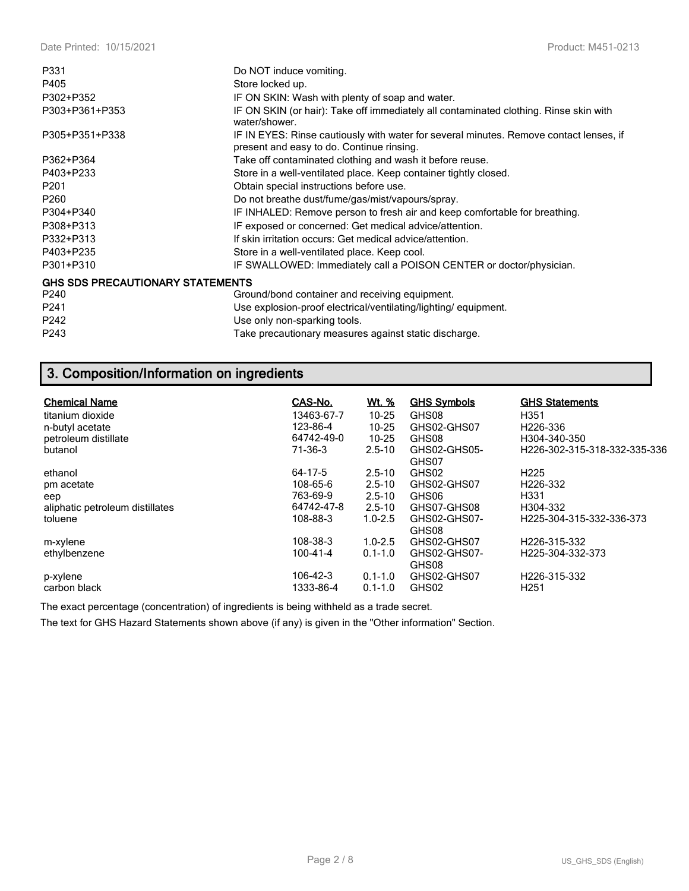| P331                                    | Do NOT induce vomiting.                                                                                                             |
|-----------------------------------------|-------------------------------------------------------------------------------------------------------------------------------------|
| P405                                    | Store locked up.                                                                                                                    |
| P302+P352                               | IF ON SKIN: Wash with plenty of soap and water.                                                                                     |
| P303+P361+P353                          | IF ON SKIN (or hair): Take off immediately all contaminated clothing. Rinse skin with<br>water/shower.                              |
| P305+P351+P338                          | IF IN EYES: Rinse cautiously with water for several minutes. Remove contact lenses, if<br>present and easy to do. Continue rinsing. |
| P362+P364                               | Take off contaminated clothing and wash it before reuse.                                                                            |
| P403+P233                               | Store in a well-ventilated place. Keep container tightly closed.                                                                    |
| P <sub>201</sub>                        | Obtain special instructions before use.                                                                                             |
| P <sub>260</sub>                        | Do not breathe dust/fume/gas/mist/vapours/spray.                                                                                    |
| P304+P340                               | IF INHALED: Remove person to fresh air and keep comfortable for breathing.                                                          |
| P308+P313                               | IF exposed or concerned: Get medical advice/attention.                                                                              |
| P332+P313                               | If skin irritation occurs: Get medical advice/attention.                                                                            |
| P403+P235                               | Store in a well-ventilated place. Keep cool.                                                                                        |
| P301+P310                               | IF SWALLOWED: Immediately call a POISON CENTER or doctor/physician.                                                                 |
| <b>GHS SDS PRECAUTIONARY STATEMENTS</b> |                                                                                                                                     |
| P240                                    | Ground/bond container and receiving equipment.                                                                                      |
| P241                                    | Use explosion-proof electrical/ventilating/lighting/equipment.                                                                      |
| P242                                    | Use only non-sparking tools.                                                                                                        |
| P243                                    | Take precautionary measures against static discharge.                                                                               |

# **3. Composition/Information on ingredients**

| <b>Chemical Name</b><br>titanium dioxide<br>n-butyl acetate<br>petroleum distillate<br>butanol | CAS-No.<br>13463-67-7<br>123-86-4<br>64742-49-0<br>71-36-3 | <u>Wt. %</u><br>$10 - 25$<br>$10 - 25$<br>$10 - 25$<br>$2.5 - 10$   | <b>GHS Symbols</b><br>GHS08<br>GHS02-GHS07<br>GHS08<br>GHS02-GHS05-<br>GHS07 | <b>GHS Statements</b><br>H351<br>H <sub>226</sub> -336<br>H304-340-350<br>H226-302-315-318-332-335-336 |
|------------------------------------------------------------------------------------------------|------------------------------------------------------------|---------------------------------------------------------------------|------------------------------------------------------------------------------|--------------------------------------------------------------------------------------------------------|
| ethanol<br>pm acetate<br>eep<br>aliphatic petroleum distillates<br>toluene                     | 64-17-5<br>108-65-6<br>763-69-9<br>64742-47-8<br>108-88-3  | $2.5 - 10$<br>$2.5 - 10$<br>$2.5 - 10$<br>$2.5 - 10$<br>$1.0 - 2.5$ | GHS02<br>GHS02-GHS07<br>GHS06<br>GHS07-GHS08<br>GHS02-GHS07-<br>GHS08        | H <sub>225</sub><br>H226-332<br>H331<br>H304-332<br>H225-304-315-332-336-373                           |
| m-xylene<br>ethylbenzene<br>p-xylene<br>carbon black                                           | 108-38-3<br>100-41-4<br>106-42-3<br>1333-86-4              | $1.0 - 2.5$<br>$0.1 - 1.0$<br>$0.1 - 1.0$<br>$0.1 - 1.0$            | GHS02-GHS07<br>GHS02-GHS07-<br>GHS08<br>GHS02-GHS07<br>GHS02                 | H226-315-332<br>H225-304-332-373<br>H226-315-332<br>H <sub>251</sub>                                   |

The exact percentage (concentration) of ingredients is being withheld as a trade secret.

The text for GHS Hazard Statements shown above (if any) is given in the "Other information" Section.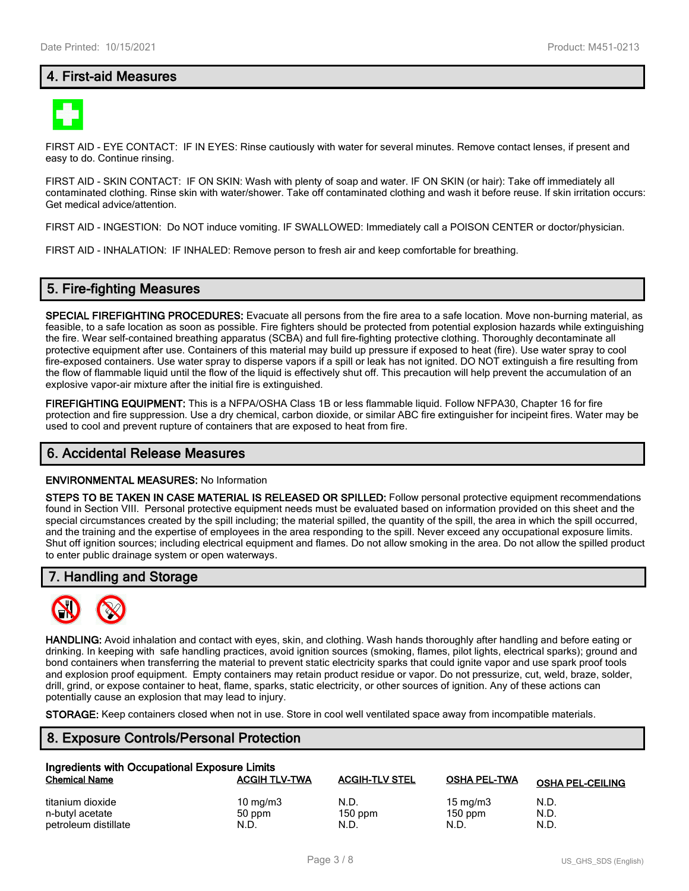# **4. First-aid Measures**



FIRST AID - EYE CONTACT: IF IN EYES: Rinse cautiously with water for several minutes. Remove contact lenses, if present and easy to do. Continue rinsing.

FIRST AID - SKIN CONTACT: IF ON SKIN: Wash with plenty of soap and water. IF ON SKIN (or hair): Take off immediately all contaminated clothing. Rinse skin with water/shower. Take off contaminated clothing and wash it before reuse. If skin irritation occurs: Get medical advice/attention.

FIRST AID - INGESTION: Do NOT induce vomiting. IF SWALLOWED: Immediately call a POISON CENTER or doctor/physician.

FIRST AID - INHALATION: IF INHALED: Remove person to fresh air and keep comfortable for breathing.

#### **5. Fire-fighting Measures**

**SPECIAL FIREFIGHTING PROCEDURES:** Evacuate all persons from the fire area to a safe location. Move non-burning material, as feasible, to a safe location as soon as possible. Fire fighters should be protected from potential explosion hazards while extinguishing the fire. Wear self-contained breathing apparatus (SCBA) and full fire-fighting protective clothing. Thoroughly decontaminate all protective equipment after use. Containers of this material may build up pressure if exposed to heat (fire). Use water spray to cool fire-exposed containers. Use water spray to disperse vapors if a spill or leak has not ignited. DO NOT extinguish a fire resulting from the flow of flammable liquid until the flow of the liquid is effectively shut off. This precaution will help prevent the accumulation of an explosive vapor-air mixture after the initial fire is extinguished.

**FIREFIGHTING EQUIPMENT:** This is a NFPA/OSHA Class 1B or less flammable liquid. Follow NFPA30, Chapter 16 for fire protection and fire suppression. Use a dry chemical, carbon dioxide, or similar ABC fire extinguisher for incipeint fires. Water may be used to cool and prevent rupture of containers that are exposed to heat from fire.

#### **6. Accidental Release Measures**

#### **ENVIRONMENTAL MEASURES:** No Information

**STEPS TO BE TAKEN IN CASE MATERIAL IS RELEASED OR SPILLED:** Follow personal protective equipment recommendations found in Section VIII. Personal protective equipment needs must be evaluated based on information provided on this sheet and the special circumstances created by the spill including; the material spilled, the quantity of the spill, the area in which the spill occurred, and the training and the expertise of employees in the area responding to the spill. Never exceed any occupational exposure limits. Shut off ignition sources; including electrical equipment and flames. Do not allow smoking in the area. Do not allow the spilled product to enter public drainage system or open waterways.

#### **7. Handling and Storage**



**HANDLING:** Avoid inhalation and contact with eyes, skin, and clothing. Wash hands thoroughly after handling and before eating or drinking. In keeping with safe handling practices, avoid ignition sources (smoking, flames, pilot lights, electrical sparks); ground and bond containers when transferring the material to prevent static electricity sparks that could ignite vapor and use spark proof tools and explosion proof equipment. Empty containers may retain product residue or vapor. Do not pressurize, cut, weld, braze, solder, drill, grind, or expose container to heat, flame, sparks, static electricity, or other sources of ignition. Any of these actions can potentially cause an explosion that may lead to injury.

**STORAGE:** Keep containers closed when not in use. Store in cool well ventilated space away from incompatible materials.

# **8. Exposure Controls/Personal Protection**

| Ingredients with Occupational Exposure Limits |                      |                       |                     |                         |  |
|-----------------------------------------------|----------------------|-----------------------|---------------------|-------------------------|--|
| <b>Chemical Name</b>                          | <b>ACGIH TLV-TWA</b> | <b>ACGIH-TLV STEL</b> | <b>OSHA PEL-TWA</b> | <b>OSHA PEL-CEILING</b> |  |
| titanium dioxide                              | 10 mg/m $3$          | N.D.                  | 15 mg/m $3$         | N.D.                    |  |
| n-butyl acetate                               | 50 ppm               | $150$ ppm             | $150$ ppm           | N.D.                    |  |
| petroleum distillate                          | N.D.                 | N.D.                  | N.D.                | N.D.                    |  |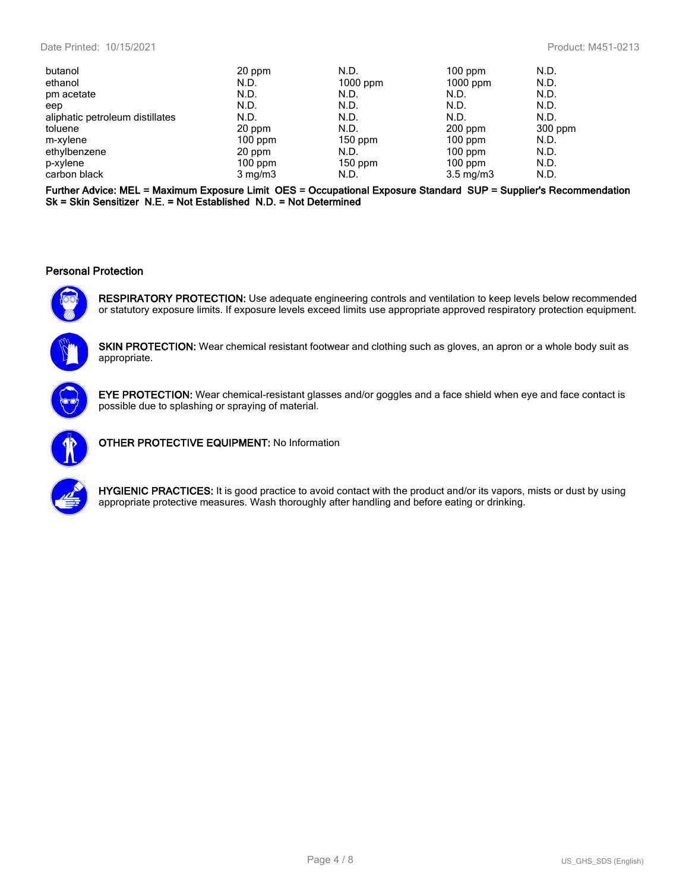| butanol                         | 20 ppm           | N.D.       | $100$ ppm          | N.D.    |
|---------------------------------|------------------|------------|--------------------|---------|
| ethanol                         | N.D.             | $1000$ ppm | $1000$ ppm         | N.D.    |
| pm acetate                      | N.D.             | N.D.       | N.D.               | N.D.    |
| eep                             | N.D.             | N.D.       | N.D.               | N.D.    |
| aliphatic petroleum distillates | N.D.             | N.D.       | N.D.               | N.D.    |
| toluene                         | 20 ppm           | N.D.       | $200$ ppm          | 300 ppm |
| m-xylene                        | $100$ ppm        | $150$ ppm  | $100$ ppm          | N.D.    |
| ethylbenzene                    | 20 ppm           | N.D.       | $100$ ppm          | N.D.    |
| p-xylene                        | $100$ ppm        | $150$ ppm  | $100$ ppm          | N.D.    |
| carbon black                    | $3 \text{ mg/m}$ | N.D.       | $3.5 \text{ mg/m}$ | N.D.    |

**Further Advice: MEL = Maximum Exposure Limit OES = Occupational Exposure Standard SUP = Supplier's Recommendation Sk = Skin Sensitizer N.E. = Not Established N.D. = Not Determined**

#### **Personal Protection**



**RESPIRATORY PROTECTION:** Use adequate engineering controls and ventilation to keep levels below recommended or statutory exposure limits. If exposure levels exceed limits use appropriate approved respiratory protection equipment.



**SKIN PROTECTION:** Wear chemical resistant footwear and clothing such as gloves, an apron or a whole body suit as appropriate.



**EYE PROTECTION:** Wear chemical-resistant glasses and/or goggles and a face shield when eye and face contact is possible due to splashing or spraying of material.



**OTHER PROTECTIVE EQUIPMENT:** No Information



**HYGIENIC PRACTICES:** It is good practice to avoid contact with the product and/or its vapors, mists or dust by using appropriate protective measures. Wash thoroughly after handling and before eating or drinking.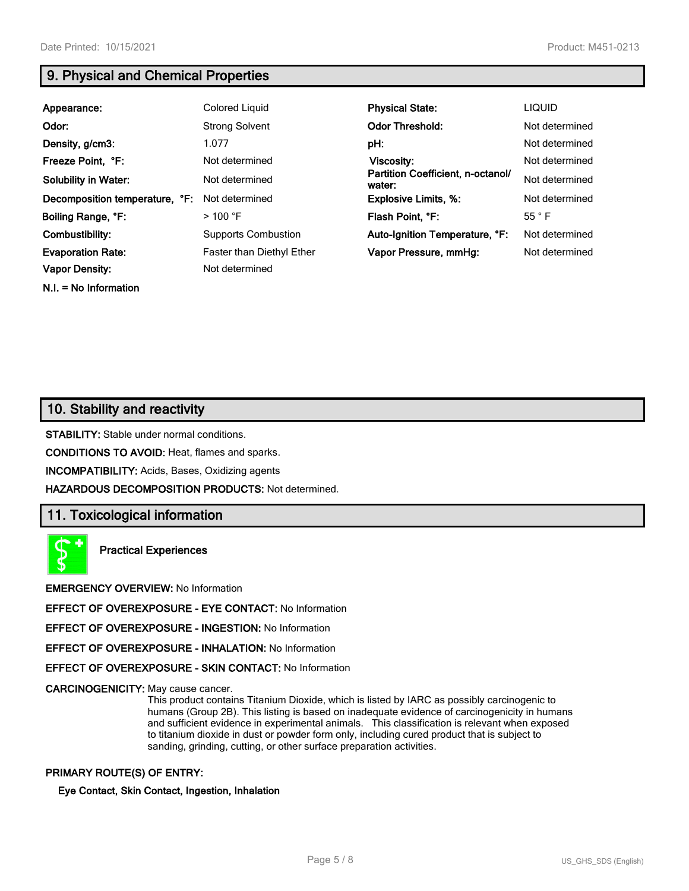**N.I. = No Information**

# **9. Physical and Chemical Properties**

| Appearance:                    | Colored Liquid                   | <b>Physical State:</b>                      | <b>LIQUID</b>  |
|--------------------------------|----------------------------------|---------------------------------------------|----------------|
| Odor:                          | <b>Strong Solvent</b>            | <b>Odor Threshold:</b>                      | Not determined |
| Density, g/cm3:                | 1.077                            | pH:                                         | Not determined |
| Freeze Point, °F:              | Not determined                   | Viscosity:                                  | Not determined |
| <b>Solubility in Water:</b>    | Not determined                   | Partition Coefficient, n-octanol/<br>water: | Not determined |
| Decomposition temperature, °F: | Not determined                   | <b>Explosive Limits, %:</b>                 | Not determined |
| Boiling Range, °F:             | $>$ 100 °F                       | Flash Point, °F:                            | 55 °F          |
| Combustibility:                | <b>Supports Combustion</b>       | Auto-Ignition Temperature, °F:              | Not determined |
| <b>Evaporation Rate:</b>       | <b>Faster than Diethyl Ether</b> | Vapor Pressure, mmHq:                       | Not determined |
| <b>Vapor Density:</b>          | Not determined                   |                                             |                |

# **10. Stability and reactivity**

**STABILITY:** Stable under normal conditions.

**CONDITIONS TO AVOID:** Heat, flames and sparks.

**INCOMPATIBILITY:** Acids, Bases, Oxidizing agents

**HAZARDOUS DECOMPOSITION PRODUCTS:** Not determined.

#### **11. Toxicological information**

**Practical Experiences**

**EMERGENCY OVERVIEW:** No Information

**EFFECT OF OVEREXPOSURE - EYE CONTACT:** No Information

**EFFECT OF OVEREXPOSURE - INGESTION:** No Information

**EFFECT OF OVEREXPOSURE - INHALATION:** No Information

**EFFECT OF OVEREXPOSURE - SKIN CONTACT:** No Information

**CARCINOGENICITY:** May cause cancer.

This product contains Titanium Dioxide, which is listed by IARC as possibly carcinogenic to humans (Group 2B). This listing is based on inadequate evidence of carcinogenicity in humans and sufficient evidence in experimental animals. This classification is relevant when exposed to titanium dioxide in dust or powder form only, including cured product that is subject to sanding, grinding, cutting, or other surface preparation activities.

#### **PRIMARY ROUTE(S) OF ENTRY:**

**Eye Contact, Skin Contact, Ingestion, Inhalation**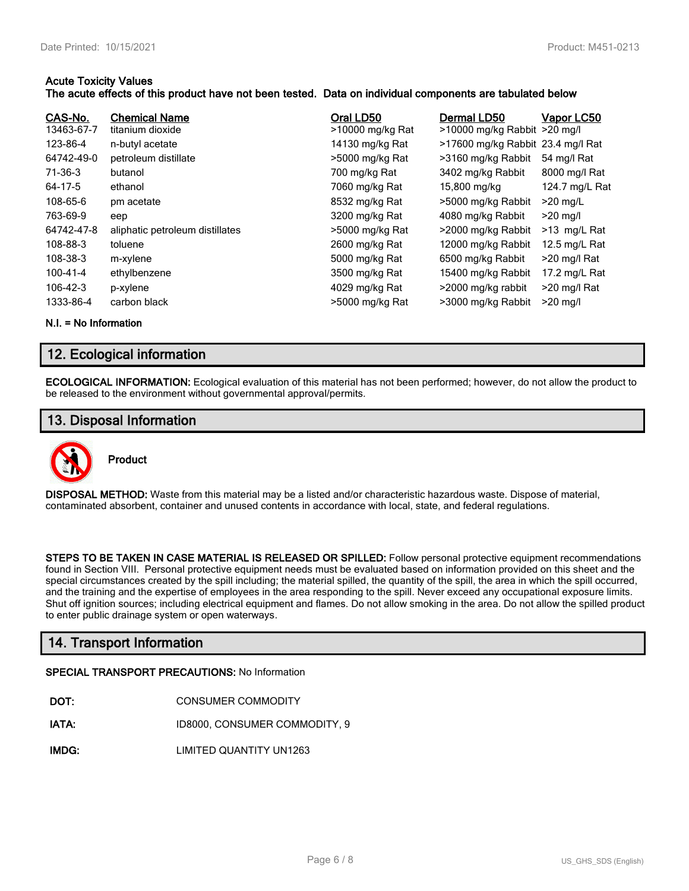#### **Acute Toxicity Values**

#### **The acute effects of this product have not been tested. Data on individual components are tabulated below**

| CAS-No.<br>13463-67-7<br>123-86-4<br>64742-49-0<br>71-36-3<br>64-17-5<br>108-65-6<br>763-69-9<br>64742-47-8<br>108-88-3<br>108-38-3<br>100-41-4 | <b>Chemical Name</b><br>titanium dioxide<br>n-butyl acetate<br>petroleum distillate<br>butanol<br>ethanol<br>pm acetate<br>eep<br>aliphatic petroleum distillates<br>toluene<br>m-xylene<br>ethylbenzene | Oral LD50<br>>10000 mg/kg Rat<br>14130 mg/kg Rat<br>>5000 mg/kg Rat<br>700 mg/kg Rat<br>7060 mg/kg Rat<br>8532 mg/kg Rat<br>3200 mg/kg Rat<br>>5000 mg/kg Rat<br>2600 mg/kg Rat<br>5000 mg/kg Rat<br>3500 mg/kg Rat | Dermal LD50<br>>10000 mg/kg Rabbit >20 mg/l<br>>17600 mg/kg Rabbit 23.4 mg/l Rat<br>>3160 mg/kg Rabbit<br>3402 mg/kg Rabbit<br>15,800 mg/kg<br>>5000 mg/kg Rabbit<br>4080 mg/kg Rabbit<br>>2000 mg/kg Rabbit<br>12000 mg/kg Rabbit<br>6500 mg/kg Rabbit<br>15400 mg/kg Rabbit | Vapor LC50<br>54 mg/l Rat<br>8000 mg/l Rat<br>124.7 mg/L Rat<br>$>20$ mg/L<br>$>20$ mg/l<br>>13 mg/L Rat<br>12.5 mg/L Rat<br>>20 mg/l Rat<br>17.2 mg/L Rat |
|-------------------------------------------------------------------------------------------------------------------------------------------------|----------------------------------------------------------------------------------------------------------------------------------------------------------------------------------------------------------|---------------------------------------------------------------------------------------------------------------------------------------------------------------------------------------------------------------------|-------------------------------------------------------------------------------------------------------------------------------------------------------------------------------------------------------------------------------------------------------------------------------|------------------------------------------------------------------------------------------------------------------------------------------------------------|
| 106-42-3                                                                                                                                        | p-xylene                                                                                                                                                                                                 | 4029 mg/kg Rat                                                                                                                                                                                                      | >2000 mg/kg rabbit                                                                                                                                                                                                                                                            | >20 mg/l Rat                                                                                                                                               |
| 1333-86-4                                                                                                                                       | carbon black                                                                                                                                                                                             | >5000 mg/kg Rat                                                                                                                                                                                                     | >3000 mg/kg Rabbit                                                                                                                                                                                                                                                            | $>20$ mg/l                                                                                                                                                 |

**N.I. = No Information**

# **12. Ecological information**

**ECOLOGICAL INFORMATION:** Ecological evaluation of this material has not been performed; however, do not allow the product to be released to the environment without governmental approval/permits.

# **13. Disposal Information**



**DISPOSAL METHOD:** Waste from this material may be a listed and/or characteristic hazardous waste. Dispose of material, contaminated absorbent, container and unused contents in accordance with local, state, and federal regulations.

**STEPS TO BE TAKEN IN CASE MATERIAL IS RELEASED OR SPILLED:** Follow personal protective equipment recommendations found in Section VIII. Personal protective equipment needs must be evaluated based on information provided on this sheet and the special circumstances created by the spill including; the material spilled, the quantity of the spill, the area in which the spill occurred, and the training and the expertise of employees in the area responding to the spill. Never exceed any occupational exposure limits. Shut off ignition sources; including electrical equipment and flames. Do not allow smoking in the area. Do not allow the spilled product to enter public drainage system or open waterways.

# **14. Transport Information**

#### **SPECIAL TRANSPORT PRECAUTIONS:** No Information

- **IATA:** ID8000, CONSUMER COMMODITY, 9
- **IMDG:** LIMITED QUANTITY UN1263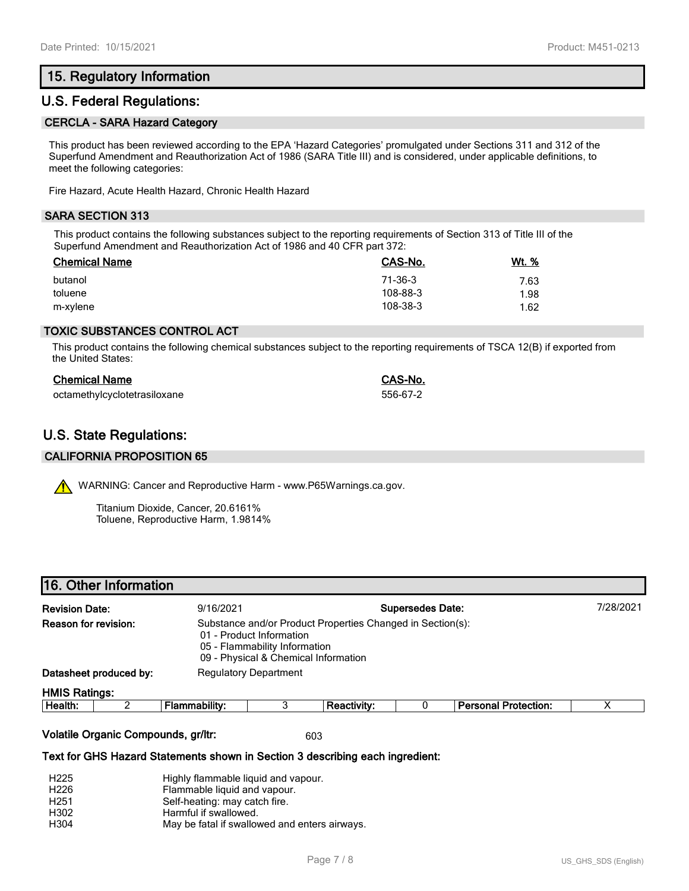# **15. Regulatory Information**

### **U.S. Federal Regulations:**

#### **CERCLA - SARA Hazard Category**

This product has been reviewed according to the EPA 'Hazard Categories' promulgated under Sections 311 and 312 of the Superfund Amendment and Reauthorization Act of 1986 (SARA Title III) and is considered, under applicable definitions, to meet the following categories:

Fire Hazard, Acute Health Hazard, Chronic Health Hazard

#### **SARA SECTION 313**

This product contains the following substances subject to the reporting requirements of Section 313 of Title III of the Superfund Amendment and Reauthorization Act of 1986 and 40 CFR part 372:

| <b>Chemical Name</b> | CAS-No.  | <u>Wt. %</u> |
|----------------------|----------|--------------|
| butanol              | 71-36-3  | 7.63         |
| toluene              | 108-88-3 | 1.98         |
| m-xylene             | 108-38-3 | 1.62         |

#### **TOXIC SUBSTANCES CONTROL ACT**

This product contains the following chemical substances subject to the reporting requirements of TSCA 12(B) if exported from the United States:

| <b>Chemical Name</b>         | CAS-No.  |
|------------------------------|----------|
| octamethylcyclotetrasiloxane | 556-67-2 |

# **U.S. State Regulations:**

#### **CALIFORNIA PROPOSITION 65**

WARNING: Cancer and Reproductive Harm - www.P65Warnings.ca.gov.

Titanium Dioxide, Cancer, 20.6161% Toluene, Reproductive Harm, 1.9814%

| <b>Revision Date:</b>  |  | <b>Supersedes Date:</b><br>9/16/2021                                                                                                                            |  |                    |  |                             | 7/28/2021 |  |
|------------------------|--|-----------------------------------------------------------------------------------------------------------------------------------------------------------------|--|--------------------|--|-----------------------------|-----------|--|
| Reason for revision:   |  | Substance and/or Product Properties Changed in Section(s):<br>01 - Product Information<br>05 - Flammability Information<br>09 - Physical & Chemical Information |  |                    |  |                             |           |  |
| Datasheet produced by: |  | <b>Regulatory Department</b>                                                                                                                                    |  |                    |  |                             |           |  |
| <b>HMIS Ratings:</b>   |  |                                                                                                                                                                 |  |                    |  |                             |           |  |
| Health:                |  | Flammability:                                                                                                                                                   |  | <b>Reactivity:</b> |  | <b>Personal Protection:</b> |           |  |
|                        |  |                                                                                                                                                                 |  |                    |  |                             |           |  |

#### **Volatile Organic Compounds, gr/ltr:** 603

#### **Text for GHS Hazard Statements shown in Section 3 describing each ingredient:**

| H <sub>225</sub> | Highly flammable liquid and vapour.           |
|------------------|-----------------------------------------------|
| H <sub>226</sub> | Flammable liquid and vapour.                  |
| H <sub>251</sub> | Self-heating: may catch fire.                 |
| H302             | Harmful if swallowed.                         |
| H304             | May be fatal if swallowed and enters airways. |